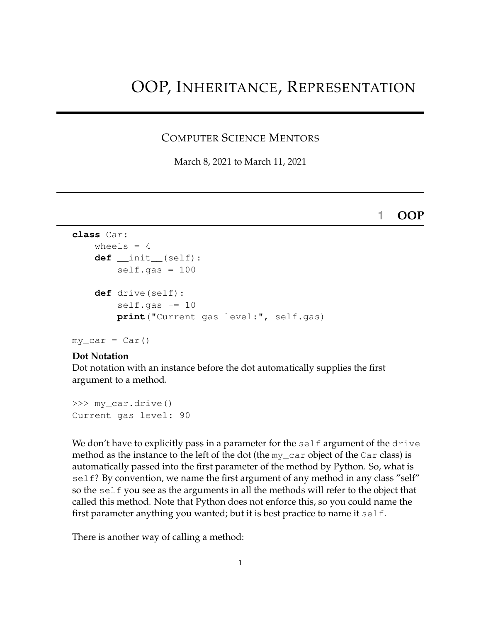# OOP, INHERITANCE, REPRESENTATION

#### COMPUTER SCIENCE MENTORS

March 8, 2021 to March 11, 2021

#### **1 OOP**

```
class Car:
    wheels = 4def __init__(self):
        self.gas = 100def drive(self):
        self.gas - = 10
        print("Current gas level:", self.gas)
```

```
my\_car = Car()
```
#### **Dot Notation**

Dot notation with an instance before the dot automatically supplies the first argument to a method.

```
>>> my_car.drive()
Current gas level: 90
```
We don't have to explicitly pass in a parameter for the self argument of the drive method as the instance to the left of the dot (the my\_car object of the Car class) is automatically passed into the first parameter of the method by Python. So, what is self? By convention, we name the first argument of any method in any class "self" so the self you see as the arguments in all the methods will refer to the object that called this method. Note that Python does not enforce this, so you could name the first parameter anything you wanted; but it is best practice to name it self.

There is another way of calling a method: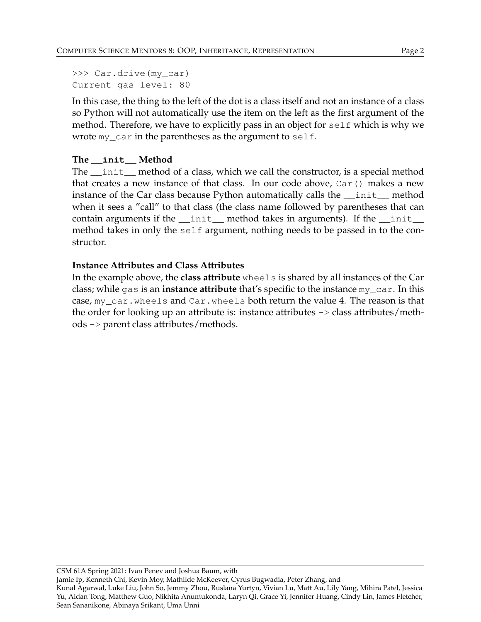>>> Car.drive(my\_car) Current gas level: 80

In this case, the thing to the left of the dot is a class itself and not an instance of a class so Python will not automatically use the item on the left as the first argument of the method. Therefore, we have to explicitly pass in an object for self which is why we wrote  $my\_car$  in the parentheses as the argument to self.

## **The \_\_init\_\_ Method**

The \_\_init\_\_ method of a class, which we call the constructor, is a special method that creates a new instance of that class. In our code above, Car() makes a new instance of the Car class because Python automatically calls the \_\_init\_\_ method when it sees a "call" to that class (the class name followed by parentheses that can contain arguments if the  $\__$ init $\__$  method takes in arguments). If the  $\__$ init $\__$ method takes in only the self argument, nothing needs to be passed in to the constructor.

## **Instance Attributes and Class Attributes**

In the example above, the **class attribute** wheels is shared by all instances of the Car class; while gas is an **instance attribute** that's specific to the instance my\_car. In this case, my\_car.wheels and Car.wheels both return the value 4. The reason is that the order for looking up an attribute is: instance attributes  $\rightarrow$  class attributes/methods -> parent class attributes/methods.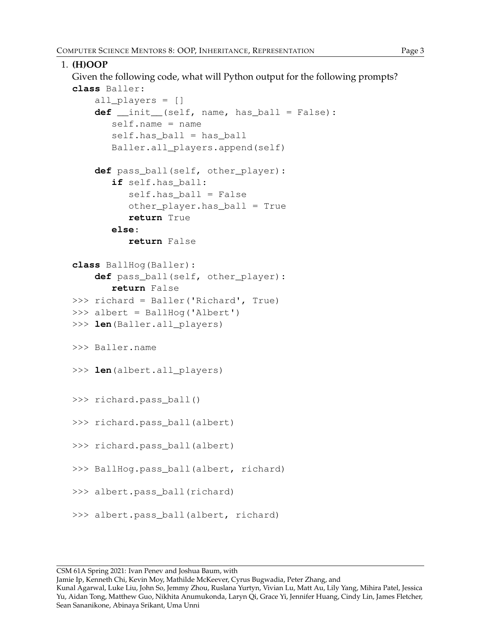```
1. (H)OOP
  Given the following code, what will Python output for the following prompts?
  class Baller:
      all players = []def __init__(self, name, has_ball = False):
         self.name = nameself.has ball = has ball
         Baller.all_players.append(self)
      def pass_ball(self, other_player):
         if self.has_ball:
            self.has_ball = False
            other_player.has_ball = True
            return True
         else:
            return False
  class BallHog(Baller):
      def pass_ball(self, other_player):
         return False
  >>> richard = Baller('Richard', True)
  >>> albert = BallHog('Albert')
  >>> len(Baller.all_players)
  >>> Baller.name
  >>> len(albert.all_players)
  >>> richard.pass_ball()
  >>> richard.pass_ball(albert)
  >>> richard.pass ball(albert)
  >>> BallHog.pass_ball(albert, richard)
  >>> albert.pass_ball(richard)
  >>> albert.pass_ball(albert, richard)
```
Jamie Ip, Kenneth Chi, Kevin Moy, Mathilde McKeever, Cyrus Bugwadia, Peter Zhang, and

Kunal Agarwal, Luke Liu, John So, Jemmy Zhou, Ruslana Yurtyn, Vivian Lu, Matt Au, Lily Yang, Mihira Patel, Jessica Yu, Aidan Tong, Matthew Guo, Nikhita Anumukonda, Laryn Qi, Grace Yi, Jennifer Huang, Cindy Lin, James Fletcher, Sean Sananikone, Abinaya Srikant, Uma Unni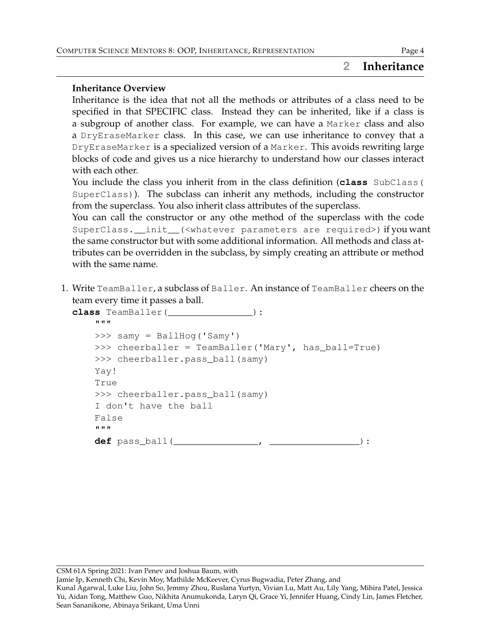## **2 Inheritance**

#### **Inheritance Overview**

Inheritance is the idea that not all the methods or attributes of a class need to be specified in that SPECIFIC class. Instead they can be inherited, like if a class is a subgroup of another class. For example, we can have a Marker class and also a DryEraseMarker class. In this case, we can use inheritance to convey that a DryEraseMarker is a specialized version of a Marker. This avoids rewriting large blocks of code and gives us a nice hierarchy to understand how our classes interact with each other.

You include the class you inherit from in the class definition (**class** SubClass ( SuperClass)). The subclass can inherit any methods, including the constructor from the superclass. You also inherit class attributes of the superclass.

You can call the constructor or any othe method of the superclass with the code SuperClass.\_\_init\_\_(<whatever parameters are required>) if you want the same constructor but with some additional information. All methods and class attributes can be overridden in the subclass, by simply creating an attribute or method with the same name.

1. Write TeamBaller, a subclass of Baller. An instance of TeamBaller cheers on the team every time it passes a ball.

```
class TeamBaller(_______________):
    """
    >>> samy = BallHog('Samy')
    >>> cheerballer = TeamBaller('Mary', has_ball=True)
    >>> cheerballer.pass_ball(samy)
    Yay!
    True
    >>> cheerballer.pass_ball(samy)
    I don't have the ball
    False
    "" ""
    def pass_ball(_______________, ________________):
```
CSM 61A Spring 2021: Ivan Penev and Joshua Baum, with

Jamie Ip, Kenneth Chi, Kevin Moy, Mathilde McKeever, Cyrus Bugwadia, Peter Zhang, and

Kunal Agarwal, Luke Liu, John So, Jemmy Zhou, Ruslana Yurtyn, Vivian Lu, Matt Au, Lily Yang, Mihira Patel, Jessica Yu, Aidan Tong, Matthew Guo, Nikhita Anumukonda, Laryn Qi, Grace Yi, Jennifer Huang, Cindy Lin, James Fletcher, Sean Sananikone, Abinaya Srikant, Uma Unni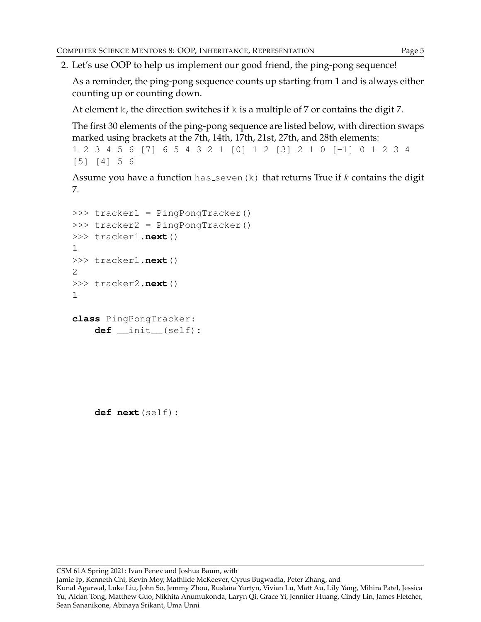2. Let's use OOP to help us implement our good friend, the ping-pong sequence!

As a reminder, the ping-pong sequence counts up starting from 1 and is always either counting up or counting down.

At element k, the direction switches if  $k$  is a multiple of 7 or contains the digit 7.

The first 30 elements of the ping-pong sequence are listed below, with direction swaps marked using brackets at the 7th, 14th, 17th, 21st, 27th, and 28th elements:

```
1 2 3 4 5 6 [7] 6 5 4 3 2 1 [0] 1 2 [3] 2 1 0 [-1] 0 1 2 3 4
[5] [4] 5 6
```
Assume you have a function has seven  $(k)$  that returns True if k contains the digit 7.

```
>>> tracker1 = PingPongTracker()
>>> tracker2 = PingPongTracker()
>>> tracker1.next()
1
>>> tracker1.next()
2
>>> tracker2.next()
1
class PingPongTracker:
    def __init__(self):
```
**def next**(self):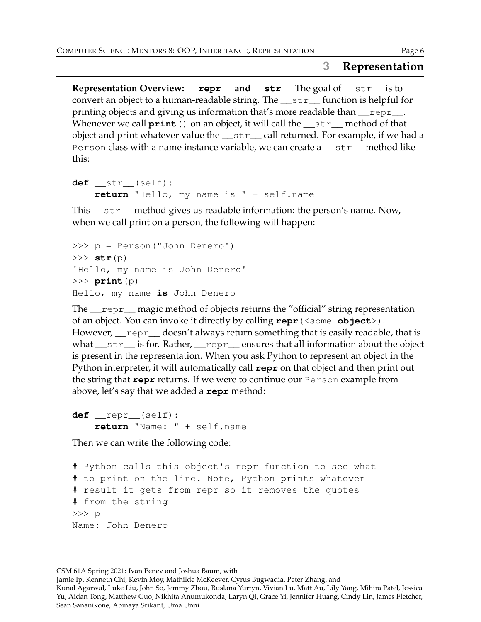# **3 Representation**

**Representation Overview: \_\_repr\_\_ and \_\_str\_\_** The goal of \_\_str\_\_ is to convert an object to a human-readable string. The \_\_str\_\_ function is helpful for printing objects and giving us information that's more readable than *\_\_repr*\_\_. Whenever we call **print** () on an object, it will call the <u>str</u> method of that object and print whatever value the  $\text{Istr}\_ \text{call returned.}$  For example, if we had a Person class with a name instance variable, we can create a str\_method like this:

```
def __str__(self):
    return "Hello, my name is " + self.name
```
This \_\_str\_\_ method gives us readable information: the person's name. Now, when we call print on a person, the following will happen:

```
>>> p = Person("John Denero")
>>> str(p)
'Hello, my name is John Denero'
>>> print(p)
Hello, my name is John Denero
```
The \_\_repr\_\_ magic method of objects returns the "official" string representation of an object. You can invoke it directly by calling **repr**(<some **object**>). However, <u>repr</u> doesn't always return something that is easily readable, that is what <u>str</u> is for. Rather, <u>repr</u>ensures that all information about the object is present in the representation. When you ask Python to represent an object in the Python interpreter, it will automatically call **repr** on that object and then print out the string that **repr** returns. If we were to continue our Person example from above, let's say that we added a **repr** method:

**def** \_\_repr\_\_(self): **return** "Name: " + self.name

Then we can write the following code:

```
# Python calls this object's repr function to see what
# to print on the line. Note, Python prints whatever
# result it gets from repr so it removes the quotes
# from the string
>>> p
Name: John Denero
```
CSM 61A Spring 2021: Ivan Penev and Joshua Baum, with

Jamie Ip, Kenneth Chi, Kevin Moy, Mathilde McKeever, Cyrus Bugwadia, Peter Zhang, and

Kunal Agarwal, Luke Liu, John So, Jemmy Zhou, Ruslana Yurtyn, Vivian Lu, Matt Au, Lily Yang, Mihira Patel, Jessica Yu, Aidan Tong, Matthew Guo, Nikhita Anumukonda, Laryn Qi, Grace Yi, Jennifer Huang, Cindy Lin, James Fletcher, Sean Sananikone, Abinaya Srikant, Uma Unni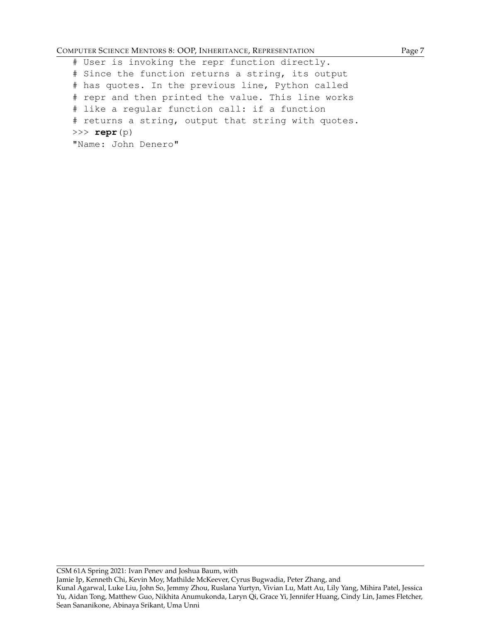#### COMPUTER SCIENCE MENTORS 8: OOP, INHERITANCE, REPRESENTATION Page 7

# User is invoking the repr function directly. # Since the function returns a string, its output # has quotes. In the previous line, Python called # repr and then printed the value. This line works # like a regular function call: if a function # returns a string, output that string with quotes. >>> **repr**(p) "Name: John Denero"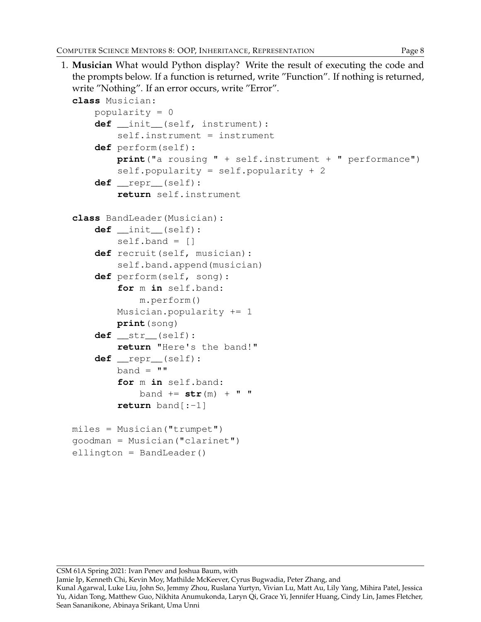1. **Musician** What would Python display? Write the result of executing the code and the prompts below. If a function is returned, write "Function". If nothing is returned, write "Nothing". If an error occurs, write "Error". **class** Musician: popularity = 0 **def** \_\_init\_\_(self, instrument): self.instrument = instrument **def** perform(self): **print**("a rousing " + self.instrument + " performance") self.popularity = self.popularity + 2 **def** \_\_repr\_\_(self): **return** self.instrument **class** BandLeader(Musician): **def** \_\_init\_\_(self):  $self.\text{band} = []$ **def** recruit(self, musician): self.band.append(musician) **def** perform(self, song): **for** m **in** self.band: m.perform() Musician.popularity += 1 **print**(song) **def** \_\_str\_\_(self): **return** "Here's the band!" **def** \_\_repr\_\_(self):  $band = "$ **for** m **in** self.band:  $band == str(m) + " "$ **return** band[:-1]  $miles =$  Musician ("trumpet") goodman = Musician("clarinet") ellington = BandLeader()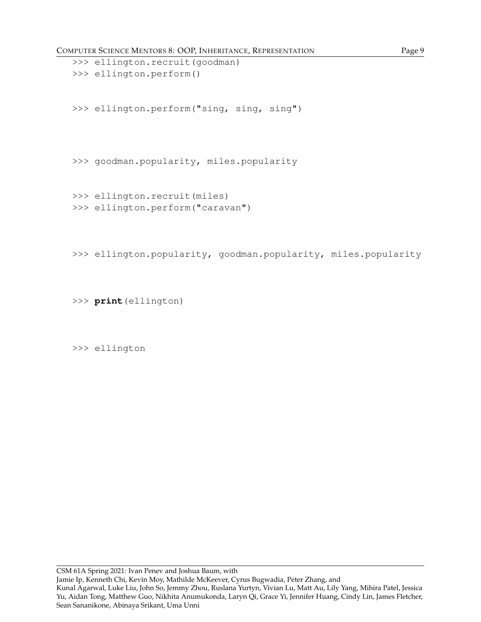COMPUTER SCIENCE MENTORS 8: OOP, INHERITANCE, REPRESENTATION Page 9

```
>>> ellington.recruit(goodman)
>>> ellington.perform()
>>> ellington.perform("sing, sing, sing")
>>> goodman.popularity, miles.popularity
>>> ellington.recruit(miles)
>>> ellington.perform("caravan")
```
>>> ellington.popularity, goodman.popularity, miles.popularity

>>> **print**(ellington)

>>> ellington